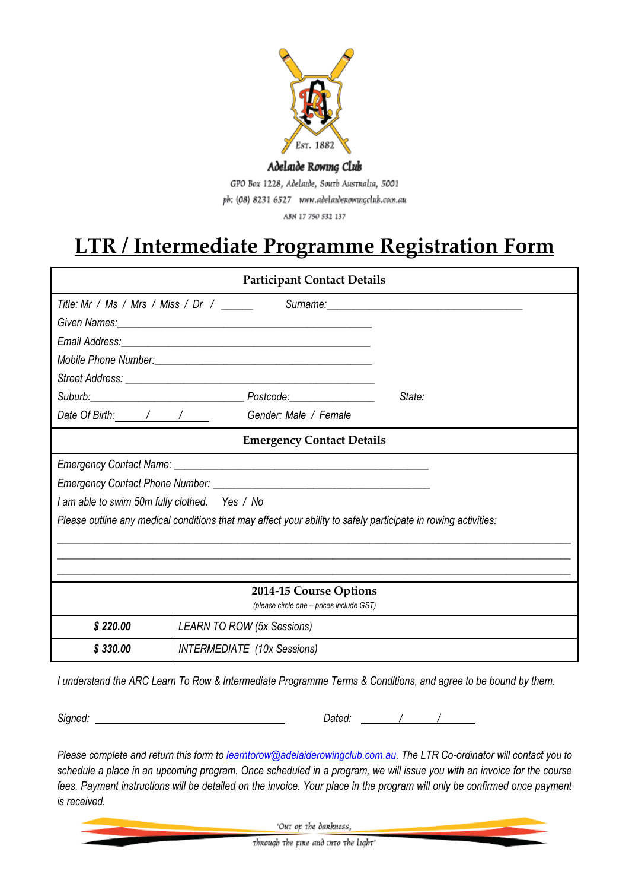

## Adelaide Rowing Club

GPO Box 1228, Adelaide, South Australia, 5001 ph: (08) 8231 6527 www.adelaidenowingclub.com.au

ABN 17 750 532 137

## **LTR / Intermediate Programme Registration Form**

| <b>Participant Contact Details</b>                                                                             |                                              |        |
|----------------------------------------------------------------------------------------------------------------|----------------------------------------------|--------|
| Title: Mr / Ms / Mrs / Miss / Dr / _______ Surname: ____________________________                               |                                              |        |
|                                                                                                                |                                              |        |
|                                                                                                                |                                              |        |
|                                                                                                                |                                              |        |
|                                                                                                                |                                              |        |
|                                                                                                                |                                              | State: |
|                                                                                                                | Date Of Birth: / / / / Gender: Male / Female |        |
| <b>Emergency Contact Details</b>                                                                               |                                              |        |
|                                                                                                                |                                              |        |
|                                                                                                                |                                              |        |
| I am able to swim 50m fully clothed. Yes / No                                                                  |                                              |        |
| Please outline any medical conditions that may affect your ability to safely participate in rowing activities: |                                              |        |
|                                                                                                                |                                              |        |
|                                                                                                                |                                              |        |
|                                                                                                                |                                              |        |
| 2014-15 Course Options<br>(please circle one - prices include GST)                                             |                                              |        |
| \$220.00                                                                                                       | <b>LEARN TO ROW (5x Sessions)</b>            |        |
| \$330.00                                                                                                       | <b>INTERMEDIATE</b> (10x Sessions)           |        |

*I understand the ARC Learn To Row & Intermediate Programme Terms & Conditions, and agree to be bound by them.* 

*Signed: Dated: / /*

*Please complete and return this form to [learntorow@adelaiderowingclub.com.au.](mailto:learntorow@adelaiderowingclub.com.au) The LTR Co-ordinator will contact you to schedule a place in an upcoming program. Once scheduled in a program, we will issue you with an invoice for the course*  fees. Payment instructions will be detailed on the invoice. Your place in the program will only be confirmed once payment *is received.*

'Out op the dankness,

through the rine and into the light'